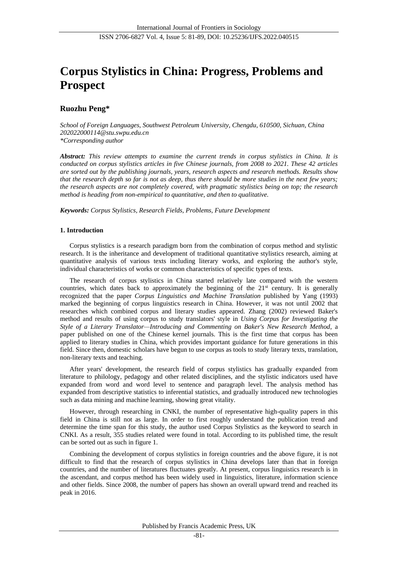# **Corpus Stylistics in China: Progress, Problems and Prospect**

## **Ruozhu Peng\***

*School of Foreign Languages, Southwest Petroleum University, Chengdu, 610500, Sichuan, China 202022000114@stu.swpu.edu.cn \*Corresponding author*

*Abstract: This review attempts to examine the current trends in corpus stylistics in China. It is conducted on corpus stylistics articles in five Chinese journals, from 2008 to 2021. These 42 articles are sorted out by the publishing journals, years, research aspects and research methods. Results show that the research depth so far is not as deep, thus there should be more studies in the next few years; the research aspects are not completely covered, with pragmatic stylistics being on top; the research method is heading from non-empirical to quantitative, and then to qualitative.*

*Keywords: Corpus Stylistics, Research Fields, Problems, Future Development*

## **1. Introduction**

Corpus stylistics is a research paradigm born from the combination of corpus method and stylistic research. It is the inheritance and development of traditional quantitative stylistics research, aiming at quantitative analysis of various texts including literary works, and exploring the author's style, individual characteristics of works or common characteristics of specific types of texts.

The research of corpus stylistics in China started relatively late compared with the western countries, which dates back to approximately the beginning of the 21<sup>st</sup> century. It is generally recognized that the paper *Corpus Linguistics and Machine Translation* published by Yang (1993) marked the beginning of corpus linguistics research in China. However, it was not until 2002 that researches which combined corpus and literary studies appeared. Zhang (2002) reviewed Baker's method and results of using corpus to study translators' style in *Using Corpus for Investigating the Style of a Literary Translator—Introducing and Commenting on Baker's New Research Method*, a paper published on one of the Chinese kernel journals. This is the first time that corpus has been applied to literary studies in China, which provides important guidance for future generations in this field. Since then, domestic scholars have begun to use corpus as tools to study literary texts, translation, non-literary texts and teaching.

After years' development, the research field of corpus stylistics has gradually expanded from literature to philology, pedagogy and other related disciplines, and the stylistic indicators used have expanded from word and word level to sentence and paragraph level. The analysis method has expanded from descriptive statistics to inferential statistics, and gradually introduced new technologies such as data mining and machine learning, showing great vitality.

However, through researching in CNKI, the number of representative high-quality papers in this field in China is still not as large. In order to first roughly understand the publication trend and determine the time span for this study, the author used Corpus Stylistics as the keyword to search in CNKI. As a result, 355 studies related were found in total. According to its published time, the result can be sorted out as such in figure 1.

Combining the development of corpus stylistics in foreign countries and the above figure, it is not difficult to find that the research of corpus stylistics in China develops later than that in foreign countries, and the number of literatures fluctuates greatly. At present, corpus linguistics research is in the ascendant, and corpus method has been widely used in linguistics, literature, information science and other fields. Since 2008, the number of papers has shown an overall upward trend and reached its peak in 2016.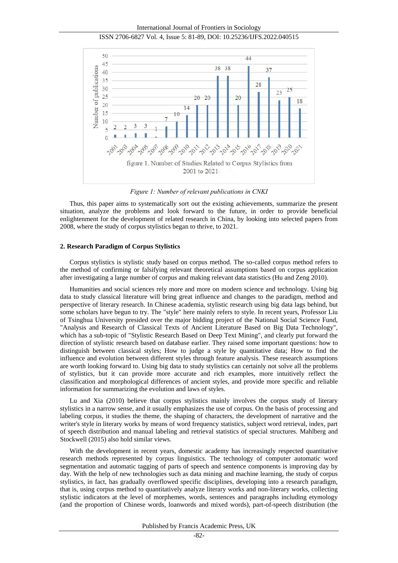#### International Journal of Frontiers in Sociology





*Figure 1: Number of relevant publications in CNKI*

Thus, this paper aims to systematically sort out the existing achievements, summarize the present situation, analyze the problems and look forward to the future, in order to provide beneficial enlightenment for the development of related research in China, by looking into selected papers from 2008, where the study of corpus stylistics began to thrive, to 2021.

#### **2. Research Paradigm of Corpus Stylistics**

Corpus stylistics is stylistic study based on corpus method. The so-called corpus method refers to the method of confirming or falsifying relevant theoretical assumptions based on corpus application after investigating a large number of corpus and making relevant data statistics (Hu and Zeng 2010).

Humanities and social sciences rely more and more on modern science and technology. Using big data to study classical literature will bring great influence and changes to the paradigm, method and perspective of literary research. In Chinese academia, stylistic research using big data lags behind, but some scholars have begun to try. The "style" here mainly refers to style. In recent years, Professor Liu of Tsinghua University presided over the major bidding project of the National Social Science Fund, "Analysis and Research of Classical Texts of Ancient Literature Based on Big Data Technology", which has a sub-topic of "Stylistic Research Based on Deep Text Mining", and clearly put forward the direction of stylistic research based on database earlier. They raised some important questions: how to distinguish between classical styles; How to judge a style by quantitative data; How to find the influence and evolution between different styles through feature analysis. These research assumptions are worth looking forward to. Using big data to study stylistics can certainly not solve all the problems of stylistics, but it can provide more accurate and rich examples, more intuitively reflect the classification and morphological differences of ancient styles, and provide more specific and reliable information for summarizing the evolution and laws of styles.

Lu and Xia (2010) believe that corpus stylistics mainly involves the corpus study of literary stylistics in a narrow sense, and it usually emphasizes the use of corpus. On the basis of processing and labeling corpus, it studies the theme, the shaping of characters, the development of narrative and the writer's style in literary works by means of word frequency statistics, subject word retrieval, index, part of speech distribution and manual labeling and retrieval statistics of special structures. Mahlberg and Stockwell (2015) also hold similar views.

With the development in recent years, domestic academy has increasingly respected quantitative research methods represented by corpus linguistics. The technology of computer automatic word segmentation and automatic tagging of parts of speech and sentence components is improving day by day. With the help of new technologies such as data mining and machine learning, the study of corpus stylistics, in fact, has gradually overflowed specific disciplines, developing into a research paradigm, that is, using corpus method to quantitatively analyze literary works and non-literary works, collecting stylistic indicators at the level of morphemes, words, sentences and paragraphs including etymology (and the proportion of Chinese words, loanwords and mixed words), part-of-speech distribution (the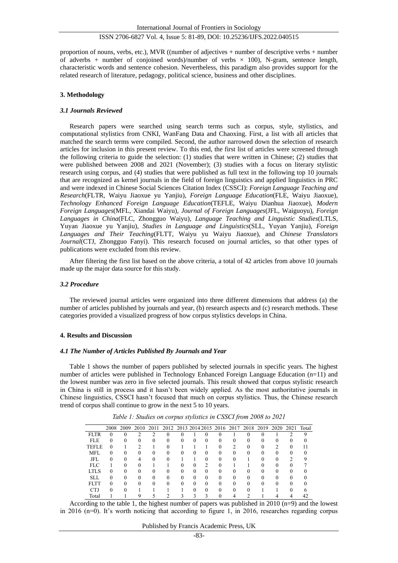proportion of nouns, verbs, etc.), MVR ((number of adjectives + number of descriptive verbs + number of adverbs + number of conjoined words)/number of verbs  $\times$  100), N-gram, sentence length, characteristic words and sentence cohesion. Nevertheless, this paradigm also provides support for the related research of literature, pedagogy, political science, business and other disciplines.

#### **3. Methodology**

#### *3.1 Journals Reviewed*

Research papers were searched using search terms such as corpus, style, stylistics, and computational stylistics from CNKI, WanFang Data and Chaoxing. First, a list with all articles that matched the search terms were compiled. Second, the author narrowed down the selection of research articles for inclusion in this present review. To this end, the first list of articles were screened through the following criteria to guide the selection: (1) studies that were written in Chinese; (2) studies that were published between 2008 and 2021 (November); (3) studies with a focus on literary stylistic research using corpus, and (4) studies that were published as full text in the following top 10 journals that are recognized as kernel journals in the field of foreign linguistics and applied linguistics in PRC and were indexed in Chinese Social Sciences Citation Index (CSSCI): *Foreign Language Teaching and Research*(FLTR, Waiyu Jiaoxue yu Yanjiu), *Foreign Language Education*(FLE, Waiyu Jiaoxue), *Technology Enhanced Foreign Language Education*(TEFLE, Waiyu Dianhua Jiaoxue), *Modern Foreign Languages*(MFL, Xiandai Waiyu), *Journal of Foreign Languages*(JFL, Waiguoyu), *Foreign Languages in China*(FLC, Zhongguo Waiyu), *Language Teaching and Linguistic Studies*(LTLS, Yuyan Jiaoxue yu Yanjiu), *Studies in Language and Linguistics*(SLL, Yuyan Yanjiu), *Foreign Languages and Their Teaching*(FLTT, Waiyu yu Waiyu Jiaoxue), and *Chinese Translators Journal*(CTJ, Zhongguo Fanyi). This research focused on journal articles, so that other types of publications were excluded from this review.

After filtering the first list based on the above criteria, a total of 42 articles from above 10 journals made up the major data source for this study.

#### *3.2 Procedure*

The reviewed journal articles were organized into three different dimensions that address (a) the number of articles published by journals and year, (b) research aspects and (c) research methods. These categories provided a visualized progress of how corpus stylistics develops in China.

### **4. Results and Discussion**

#### *4.1 The Number of Articles Published By Journals and Year*

Table 1 shows the number of papers published by selected journals in specific years. The highest number of articles were published in Technology Enhanced Foreign Language Education (n=11) and the lowest number was zero in five selected journals. This result showed that corpus stylistic research in China is still in process and it hasn't been widely applied. As the most authoritative journals in Chinese linguistics, CSSCI hasn't focused that much on corpus stylistics. Thus, the Chinese research trend of corpus shall continue to grow in the next 5 to 10 years.

|             | 2008     |              |          |          | 2009 2010 2011 2012 2013 2014 2015 2016 2017 2018 2019 2020 2021 Total |          |   |            |              |          |   |              |          |              |   |
|-------------|----------|--------------|----------|----------|------------------------------------------------------------------------|----------|---|------------|--------------|----------|---|--------------|----------|--------------|---|
| <b>FLTR</b> |          |              |          |          |                                                                        |          |   |            |              |          |   | $\Omega$     |          |              | Q |
| <b>FLE</b>  | $\Omega$ | $^{(1)}$     |          | $_{0}$   | 0                                                                      | $^{(1)}$ | 0 | $\theta$   |              | $\theta$ | 0 | $\mathbf{0}$ | $^{(1)}$ | $\mathbf{0}$ |   |
| TEFLE       | $\Omega$ |              | ∍        |          | 0                                                                      |          |   |            |              |          | 0 | $\Omega$     | ∍        | 0            |   |
| <b>MFL</b>  | $\Omega$ | $\mathbf{0}$ |          | $_{0}$   | 0                                                                      | 0        | 0 | $^{\circ}$ | $\mathbf{a}$ | $\theta$ | Ω | $\mathbf{0}$ | 0        |              |   |
| JFL         |          | $\Omega$     | 4        | $\Omega$ | Ω                                                                      |          |   | $\Omega$   |              |          |   |              | $\Omega$ |              |   |
| <b>FLC</b>  |          |              | $\Omega$ |          |                                                                        | $\Omega$ | 0 | ∍          | $\theta$     |          |   |              | $\Omega$ |              |   |
| LTLS        | $\Omega$ |              | $\Omega$ |          | 0                                                                      | 0        | 0 | $\Omega$   | ∩            |          | ∩ | $\Omega$     | $\Omega$ |              |   |
| <b>SLL</b>  |          | $\Omega$     | $\Omega$ |          | O                                                                      | 0        | 0 | $\Omega$   | $\Omega$     |          |   |              | $\Omega$ |              |   |
| <b>FLTT</b> |          |              | ∩        |          | ∩                                                                      | 0        | 0 | $\Omega$   | ∩            |          |   |              | $\Omega$ |              |   |
| <b>CTJ</b>  |          |              |          |          |                                                                        |          |   |            |              |          |   |              |          |              |   |
| Total       |          |              |          |          |                                                                        |          |   |            |              |          |   |              |          |              |   |

*Table 1: Studies on corpus stylistics in CSSCI from 2008 to 2021* 

According to the table 1, the highest number of papers was published in 2010 (n=9) and the lowest in 2016 (n=0). It's worth noticing that according to figure 1, in 2016, researches regarding corpus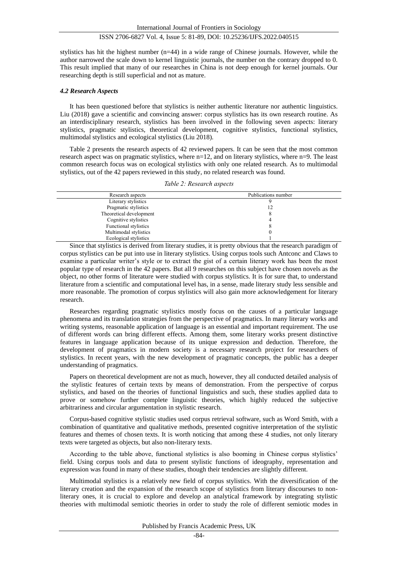stylistics has hit the highest number (n=44) in a wide range of Chinese journals. However, while the author narrowed the scale down to kernel linguistic journals, the number on the contrary dropped to 0. This result implied that many of our researches in China is not deep enough for kernel journals. Our researching depth is still superficial and not as mature.

#### *4.2 Research Aspects*

It has been questioned before that stylistics is neither authentic literature nor authentic linguistics. Liu (2018) gave a scientific and convincing answer: corpus stylistics has its own research routine. As an interdisciplinary research, stylistics has been involved in the following seven aspects: literary stylistics, pragmatic stylistics, theoretical development, cognitive stylistics, functional stylistics, multimodal stylistics and ecological stylistics (Liu 2018).

Table 2 presents the research aspects of 42 reviewed papers. It can be seen that the most common research aspect was on pragmatic stylistics, where n=12, and on literary stylistics, where n=9. The least common research focus was on ecological stylistics with only one related research. As to multimodal stylistics, out of the 42 papers reviewed in this study, no related research was found.

| Publications number<br>Research aspects |  |
|-----------------------------------------|--|
|                                         |  |
| Literary stylistics                     |  |
| Pragmatic stylistics<br>12              |  |
| Theoretical development                 |  |
| Cognitive stylistics                    |  |
| Functional stylistics                   |  |
| Multimodal stylistics                   |  |
| Ecological stylistics                   |  |

*Table 2: Research aspects*

Since that stylistics is derived from literary studies, it is pretty obvious that the research paradigm of corpus stylistics can be put into use in literary stylistics. Using corpus tools such Antconc and Claws to examine a particular writer's style or to extract the gist of a certain literary work has been the most popular type of research in the 42 papers. But all 9 researches on this subject have chosen novels as the object, no other forms of literature were studied with corpus stylistics. It is for sure that, to understand literature from a scientific and computational level has, in a sense, made literary study less sensible and more reasonable. The promotion of corpus stylistics will also gain more acknowledgement for literary research.

Researches regarding pragmatic stylistics mostly focus on the causes of a particular language phenomena and its translation strategies from the perspective of pragmatics. In many literary works and writing systems, reasonable application of language is an essential and important requirement. The use of different words can bring different effects. Among them, some literary works present distinctive features in language application because of its unique expression and deduction. Therefore, the development of pragmatics in modern society is a necessary research project for researchers of stylistics. In recent years, with the new development of pragmatic concepts, the public has a deeper understanding of pragmatics.

Papers on theoretical development are not as much, however, they all conducted detailed analysis of the stylistic features of certain texts by means of demonstration. From the perspective of corpus stylistics, and based on the theories of functional linguistics and such, these studies applied data to prove or somehow further complete linguistic theories, which highly reduced the subjective arbitrariness and circular argumentation in stylistic research.

Corpus-based cognitive stylistic studies used corpus retrieval software, such as Word Smith, with a combination of quantitative and qualitative methods, presented cognitive interpretation of the stylistic features and themes of chosen texts. It is worth noticing that among these 4 studies, not only literary texts were targeted as objects, but also non-literary texts.

According to the table above, functional stylistics is also booming in Chinese corpus stylistics' field. Using corpus tools and data to present stylistic functions of ideography, representation and expression was found in many of these studies, though their tendencies are slightly different.

Multimodal stylistics is a relatively new field of corpus stylistics. With the diversification of the literary creation and the expansion of the research scope of stylistics from literary discourses to nonliterary ones, it is crucial to explore and develop an analytical framework by integrating stylistic theories with multimodal semiotic theories in order to study the role of different semiotic modes in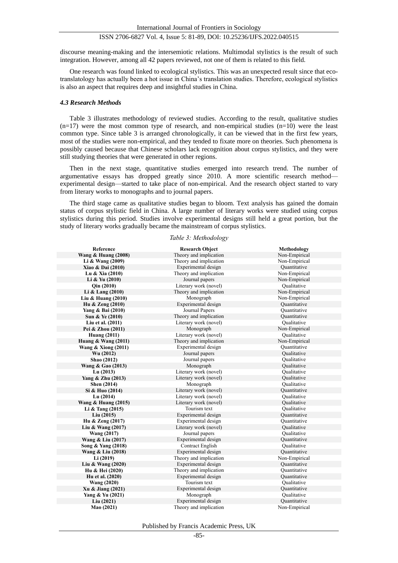discourse meaning-making and the intersemiotic relations. Multimodal stylistics is the result of such integration. However, among all 42 papers reviewed, not one of them is related to this field.

One research was found linked to ecological stylistics. This was an unexpected result since that ecotranslatology has actually been a hot issue in China's translation studies. Therefore, ecological stylistics is also an aspect that requires deep and insightful studies in China.

#### *4.3 Research Methods*

Table 3 illustrates methodology of reviewed studies. According to the result, qualitative studies  $(n=17)$  were the most common type of research, and non-empirical studies  $(n=10)$  were the least common type. Since table 3 is arranged chronologically, it can be viewed that in the first few years, most of the studies were non-empirical, and they tended to fixate more on theories. Such phenomena is possibly caused because that Chinese scholars lack recognition about corpus stylistics, and they were still studying theories that were generated in other regions.

Then in the next stage, quantitative studies emerged into research trend. The number of argumentative essays has dropped greatly since 2010. A more scientific research method experimental design—started to take place of non-empirical. And the research object started to vary from literary works to monographs and to journal papers.

The third stage came as qualitative studies began to bloom. Text analysis has gained the domain status of corpus stylistic field in China. A large number of literary works were studied using corpus stylistics during this period. Studies involve experimental designs still held a great portion, but the study of literary works gradually became the mainstream of corpus stylistics.

#### *Table 3: Methodology*

| Reference                      | <b>Research Object</b>  | Methodology        |
|--------------------------------|-------------------------|--------------------|
| <b>Wang &amp; Huang (2008)</b> | Theory and implication  | Non-Empirical      |
| Li & Wang (2009)               | Theory and implication  | Non-Empirical      |
| Xiao & Dai (2010)              | Experimental design     | Quantitative       |
| Lu & Xia (2010)                | Theory and implication  | Non-Empirical      |
| Li $&$ Yu (2010)               | Journal papers          | Non-Empirical      |
| Qin (2010)                     | Literary work (novel)   | <b>Qualitative</b> |
| Li $&$ Lang $(2010)$           | Theory and implication  | Non-Empirical      |
| Liu & Huang $(2010)$           | Monograph               | Non-Empirical      |
| Hu & Zeng (2010)               | Experimental design     | Quantitative       |
| Yang & Bai (2010)              | Journal Papers          | Ouantitative       |
| Sun & Ye (2010)                | Theory and implication  | Quantitative       |
| Liu et al. (2011)              | Literary work (novel)   | Oualitative        |
| Pei & Zhou (2011)              | Monograph               | Non-Empirical      |
| <b>Huang (2011)</b>            | Literary work (novel)   | Qualitative        |
| Huang $& Wang (2011)$          | Theory and implication  | Non-Empirical      |
| Wang $&$ Xiong (2011)          | Experimental design     | Quantitative       |
| Wu (2012)                      | Journal papers          | Oualitative        |
| Shao (2012)                    | Journal papers          | Qualitative        |
| Wang & Gao (2013)              | Monograph               | Oualitative        |
| Lu(2013)                       | Literary work (novel)   | Qualitative        |
| Yang & Zhu (2013)              | Literary work (novel)   | Qualitative        |
| <b>Shen</b> (2014)             | Monograph               | Qualitative        |
| Si & Huo (2014)                | Literary work (novel)   | Quantitative       |
| Lu(2014)                       | Literary work (novel)   | Oualitative        |
| <b>Wang &amp; Huang (2015)</b> | Literary work (novel)   | Oualitative        |
| Li $&$ Tang (2015)             | Tourism text            | Oualitative        |
| Liu(2015)                      | Experimental design     | Quantitative       |
| Hu & Zeng (2017)               | Experimental design     | Quantitative       |
| Liu & Wang $(2017)$            | Literary work (novel)   | Qualitative        |
| <b>Wang (2017)</b>             | Journal papers          | <b>Qualitative</b> |
| Wang & Liu (2017)              | Experimental design     | Ouantitative       |
| Song & Yang (2018)             | <b>Contract English</b> | <b>Qualitative</b> |
| Wang & Liu (2018)              | Experimental design     | Quantitative       |
| Li(2019)                       | Theory and implication  | Non-Empirical      |
| Liu & Wang $(2020)$            | Experimental design     | Quantitative       |
| Hu & Hei (2020)                | Theory and implication  | Quantitative       |
| Hu et al. (2020)               | Experimental design     | Ouantitative       |
| <b>Wang (2020)</b>             | Tourism text            | <b>Qualitative</b> |
| Xu & Jiang (2021)              | Experimental design     | Ouantitative       |
| Yang & Yu (2021)               | Monograph               | Oualitative        |
| Liu(2021)                      | Experimental design     | Quantitative       |
| Mao (2021)                     | Theory and implication  | Non-Empirical      |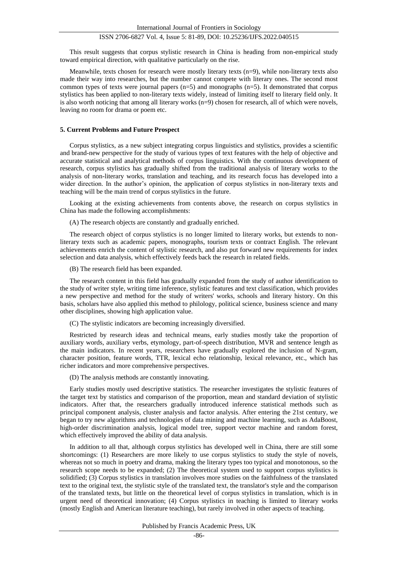This result suggests that corpus stylistic research in China is heading from non-empirical study toward empirical direction, with qualitative particularly on the rise.

Meanwhile, texts chosen for research were mostly literary texts (n=9), while non-literary texts also made their way into researches, but the number cannot compete with literary ones. The second most common types of texts were journal papers (n=5) and monographs (n=5). It demonstrated that corpus stylistics has been applied to non-literary texts widely, instead of limiting itself to literary field only. It is also worth noticing that among all literary works  $(n=9)$  chosen for research, all of which were novels, leaving no room for drama or poem etc.

## **5. Current Problems and Future Prospect**

Corpus stylistics, as a new subject integrating corpus linguistics and stylistics, provides a scientific and brand-new perspective for the study of various types of text features with the help of objective and accurate statistical and analytical methods of corpus linguistics. With the continuous development of research, corpus stylistics has gradually shifted from the traditional analysis of literary works to the analysis of non-literary works, translation and teaching, and its research focus has developed into a wider direction. In the author's opinion, the application of corpus stylistics in non-literary texts and teaching will be the main trend of corpus stylistics in the future.

Looking at the existing achievements from contents above, the research on corpus stylistics in China has made the following accomplishments:

(A) The research objects are constantly and gradually enriched.

The research object of corpus stylistics is no longer limited to literary works, but extends to nonliterary texts such as academic papers, monographs, tourism texts or contract English. The relevant achievements enrich the content of stylistic research, and also put forward new requirements for index selection and data analysis, which effectively feeds back the research in related fields.

(B) The research field has been expanded.

The research content in this field has gradually expanded from the study of author identification to the study of writer style, writing time inference, stylistic features and text classification, which provides a new perspective and method for the study of writers' works, schools and literary history. On this basis, scholars have also applied this method to philology, political science, business science and many other disciplines, showing high application value.

(C) The stylistic indicators are becoming increasingly diversified.

Restricted by research ideas and technical means, early studies mostly take the proportion of auxiliary words, auxiliary verbs, etymology, part-of-speech distribution, MVR and sentence length as the main indicators. In recent years, researchers have gradually explored the inclusion of N-gram, character position, feature words, TTR, lexical echo relationship, lexical relevance, etc., which has richer indicators and more comprehensive perspectives.

(D) The analysis methods are constantly innovating.

Early studies mostly used descriptive statistics. The researcher investigates the stylistic features of the target text by statistics and comparison of the proportion, mean and standard deviation of stylistic indicators. After that, the researchers gradually introduced inference statistical methods such as principal component analysis, cluster analysis and factor analysis. After entering the 21st century, we began to try new algorithms and technologies of data mining and machine learning, such as AdaBoost, high-order discrimination analysis, logical model tree, support vector machine and random forest, which effectively improved the ability of data analysis.

In addition to all that, although corpus stylistics has developed well in China, there are still some shortcomings: (1) Researchers are more likely to use corpus stylistics to study the style of novels, whereas not so much in poetry and drama, making the literary types too typical and monotonous, so the research scope needs to be expanded; (2) The theoretical system used to support corpus stylistics is solidified; (3) Corpus stylistics in translation involves more studies on the faithfulness of the translated text to the original text, the stylistic style of the translated text, the translator's style and the comparison of the translated texts, but little on the theoretical level of corpus stylistics in translation, which is in urgent need of theoretical innovation; (4) Corpus stylistics in teaching is limited to literary works (mostly English and American literature teaching), but rarely involved in other aspects of teaching.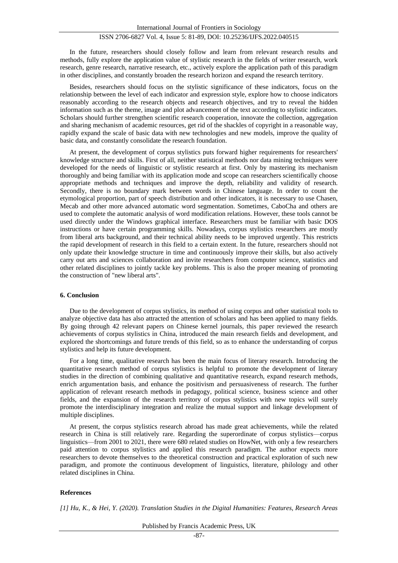In the future, researchers should closely follow and learn from relevant research results and methods, fully explore the application value of stylistic research in the fields of writer research, work research, genre research, narrative research, etc., actively explore the application path of this paradigm in other disciplines, and constantly broaden the research horizon and expand the research territory.

Besides, researchers should focus on the stylistic significance of these indicators, focus on the relationship between the level of each indicator and expression style, explore how to choose indicators reasonably according to the research objects and research objectives, and try to reveal the hidden information such as the theme, image and plot advancement of the text according to stylistic indicators. Scholars should further strengthen scientific research cooperation, innovate the collection, aggregation and sharing mechanism of academic resources, get rid of the shackles of copyright in a reasonable way, rapidly expand the scale of basic data with new technologies and new models, improve the quality of basic data, and constantly consolidate the research foundation.

At present, the development of corpus stylistics puts forward higher requirements for researchers' knowledge structure and skills. First of all, neither statistical methods nor data mining techniques were developed for the needs of linguistic or stylistic research at first. Only by mastering its mechanism thoroughly and being familiar with its application mode and scope can researchers scientifically choose appropriate methods and techniques and improve the depth, reliability and validity of research. Secondly, there is no boundary mark between words in Chinese language. In order to count the etymological proportion, part of speech distribution and other indicators, it is necessary to use Chasen, Mecab and other more advanced automatic word segmentation. Sometimes, CaboCha and others are used to complete the automatic analysis of word modification relations. However, these tools cannot be used directly under the Windows graphical interface. Researchers must be familiar with basic DOS instructions or have certain programming skills. Nowadays, corpus stylistics researchers are mostly from liberal arts background, and their technical ability needs to be improved urgently. This restricts the rapid development of research in this field to a certain extent. In the future, researchers should not only update their knowledge structure in time and continuously improve their skills, but also actively carry out arts and sciences collaboration and invite researchers from computer science, statistics and other related disciplines to jointly tackle key problems. This is also the proper meaning of promoting the construction of "new liberal arts".

#### **6. Conclusion**

Due to the development of corpus stylistics, its method of using corpus and other statistical tools to analyze objective data has also attracted the attention of scholars and has been applied to many fields. By going through 42 relevant papers on Chinese kernel journals, this paper reviewed the research achievements of corpus stylistics in China, introduced the main research fields and development, and explored the shortcomings and future trends of this field, so as to enhance the understanding of corpus stylistics and help its future development.

For a long time, qualitative research has been the main focus of literary research. Introducing the quantitative research method of corpus stylistics is helpful to promote the development of literary studies in the direction of combining qualitative and quantitative research, expand research methods, enrich argumentation basis, and enhance the positivism and persuasiveness of research. The further application of relevant research methods in pedagogy, political science, business science and other fields, and the expansion of the research territory of corpus stylistics with new topics will surely promote the interdisciplinary integration and realize the mutual support and linkage development of multiple disciplines.

At present, the corpus stylistics research abroad has made great achievements, while the related research in China is still relatively rare. Regarding the superordinate of corpus stylistics—corpus linguistics—from 2001 to 2021, there were 680 related studies on HowNet, with only a few researchers paid attention to corpus stylistics and applied this research paradigm. The author expects more researchers to devote themselves to the theoretical construction and practical exploration of such new paradigm, and promote the continuous development of linguistics, literature, philology and other related disciplines in China.

#### **References**

*[1] Hu, K., & Hei, Y. (2020). Translation Studies in the Digital Humanities: Features, Research Areas*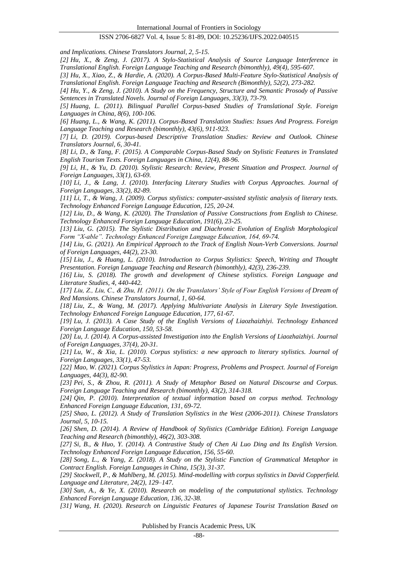*and Implications. Chinese Translators Journal, 2, 5-15.*

*[2] Hu, X., & Zeng, J. (2017). A Stylo-Statistical Analysis of Source Language Interference in Translational English. Foreign Language Teaching and Research (bimonthly), 49(4), 595-607.*

*[3] Hu, X., Xiao, Z., & Hardie, A. (2020). A Corpus-Based Multi-Feature Stylo-Statistical Analysis of Translational English. Foreign Language Teaching and Research (Bimonthly), 52(2), 273-282.*

*[4] Hu, Y., & Zeng, J. (2010). A Study on the Frequency, Structure and Semantic Prosody of Passive Sentences in Translated Novels. Journal of Foreign Languages, 33(3), 73-79.*

*[5] Huang, L. (2011). Bilingual Parallel Corpus-based Studies of Translational Style. Foreign Languages in China, 8(6), 100-106.*

*[6] Huang, L., & Wang, K. (2011). Corpus-Based Translation Studies: Issues And Progress. Foreign Language Teaching and Research (bimonthly), 43(6), 911-923.*

*[7] Li, D. (2019). Corpus-based Descriptive Translation Studies: Review and Outlook. Chinese Translators Journal, 6, 30-41.*

*[8] Li, D., & Tang, F. (2015). A Comparable Corpus-Based Study on Stylistic Features in Translated English Tourism Texts. Foreign Languages in China, 12(4), 88-96.*

*[9] Li, H., & Yu, D. (2010). Stylistic Research: Review, Present Situation and Prospect. Journal of Foreign Languages, 33(1), 63-69.*

*[10] Li, J., & Lang, J. (2010). Interfacing Literary Studies with Corpus Approaches. Journal of Foreign Languages, 33(2), 82-89.*

*[11] Li, T., & Wang, J. (2009). Corpus stylistics: computer-assisted stylistic analysis of literary texts. Technology Enhanced Foreign Language Education, 125, 20-24.*

*[12] Liu, D., & Wang, K. (2020). The Translation of Passive Constructions from English to Chinese. Technology Enhanced Foreign Language Education, 191(6), 23-25.*

*[13] Liu, G. (2015). The Stylistic Distribution and Diachronic Evolution of English Morphological Form "X-able". Technology Enhanced Foreign Language Education, 164, 69-74.*

*[14] Liu, G. (2021). An Empirical Approach to the Track of English Noun-Verb Conversions. Journal of Foreign Languages, 44(2), 23-30.*

*[15] Liu, J., & Huang, L. (2010). Introduction to Corpus Stylistics: Speech, Writing and Thought Presentation. Foreign Language Teaching and Research (bimonthly), 42(3), 236-239.*

*[16] Liu, S. (2018). The growth and development of Chinese stylistics. Foreign Language and Literature Studies, 4, 440-442.* 

*[17] Liu, Z., Liu, C., & Zhu, H. (2011). On the Translators' Style of Four English Versions of Dream of Red Mansions. Chinese Translators Journal, 1, 60-64.*

*[18] Liu, Z., & Wang, M. (2017). Applying Multivariate Analysis in Literary Style Investigation. Technology Enhanced Foreign Language Education, 177, 61-67.*

*[19] Lu, J. (2013). A Case Study of the English Versions of Liaozhaizhiyi. Technology Enhanced Foreign Language Education, 150, 53-58.*

*[20] Lu, J. (2014). A Corpus-assisted Investigation into the English Versions of Liaozhaizhiyi. Journal of Foreign Languages, 37(4), 20-31.*

*[21] Lu, W., & Xia, L. (2010). Corpus stylistics: a new approach to literary stylistics. Journal of Foreign Languages, 33(1), 47-53.*

*[22] Mao, W. (2021). Corpus Stylistics in Japan: Progress, Problems and Prospect. Journal of Foreign Languages, 44(3), 82-90.*

*[23] Pei, S., & Zhou, R. (2011). A Study of Metaphor Based on Natural Discourse and Corpus. Foreign Language Teaching and Research (bimonthly), 43(2), 314-318.*

*[24] Qin, P. (2010). Interpretation of textual information based on corpus method. Technology Enhanced Foreign Language Education, 131, 69-72.*

*[25] Shao, L. (2012). A Study of Translation Stylistics in the West (2006-2011). Chinese Translators Journal, 5, 10-15.*

*[26] Shen, D. (2014). A Review of Handbook of Stylistics (Cambridge Edition). Foreign Language Teaching and Research (bimonthly), 46(2), 303-308.*

*[27] Si, B., & Huo, Y. (2014). A Contrastive Study of Chen Ai Luo Ding and Its English Version. Technology Enhanced Foreign Language Education, 156, 55-60.*

*[28] Song, L., & Yang, Z. (2018). A Study on the Stylistic Function of Grammatical Metaphor in Contract English. Foreign Languages in China, 15(3), 31-37.* 

*[29] Stockwell, P., & Mahlberg, M. (2015). Mind-modelling with corpus stylistics in David Copperfield. Language and Literature, 24(2), 129–147.* 

*[30] Sun, A., & Ye, X. (2010). Research on modeling of the computational stylistics. Technology Enhanced Foreign Language Education, 136, 32-38.*

*[31] Wang, H. (2020). Research on Linguistic Features of Japanese Tourist Translation Based on*